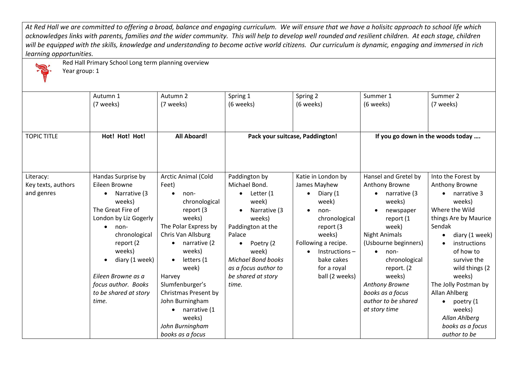*At Red Hall we are committed to offering a broad, balance and engaging curriculum. We will ensure that we have a holisitc approach to school life which*  acknowledges links with parents, families and the wider community. This will help to develop well rounded and resilient children. At each stage, children *will be equipped with the skills, knowledge and understanding to become active world citizens. Our curriculum is dynamic, engaging and immersed in rich learning opportunities.*

Year group: 1

Red Hall Primary School Long term planning overview

|                    | Autumn 1                  | Autumn 2             | Spring 1                  | Spring 2                        | Summer 1                          | Summer 2                  |
|--------------------|---------------------------|----------------------|---------------------------|---------------------------------|-----------------------------------|---------------------------|
|                    | (7 weeks)                 | (7 weeks)            | (6 weeks)                 | (6 weeks)                       | (6 weeks)                         | (7 weeks)                 |
|                    |                           |                      |                           |                                 |                                   |                           |
|                    |                           |                      |                           |                                 |                                   |                           |
| <b>TOPIC TITLE</b> | Hot! Hot! Hot!            | <b>All Aboard!</b>   |                           | Pack your suitcase, Paddington! | If you go down in the woods today |                           |
|                    |                           |                      |                           |                                 |                                   |                           |
|                    |                           |                      |                           |                                 |                                   |                           |
|                    |                           |                      |                           |                                 |                                   |                           |
|                    |                           |                      |                           |                                 |                                   |                           |
| Literacy:          | Handas Surprise by        | Arctic Animal (Cold  | Paddington by             | Katie in London by              | Hansel and Gretel by              | Into the Forest by        |
| Key texts, authors | Eileen Browne             | Feet)                | Michael Bond.             | James Mayhew                    | Anthony Browne                    | Anthony Browne            |
| and genres         | Narrative (3<br>$\bullet$ | non-                 | Letter (1<br>$\bullet$    | Diary (1<br>$\bullet$           | narrative (3                      | $\bullet$ narrative 3     |
|                    | weeks)                    | chronological        | week)                     | week)                           | weeks)                            | weeks)                    |
|                    | The Great Fire of         | report (3            | Narrative (3              | non-<br>$\bullet$               | newspaper                         | Where the Wild            |
|                    | London by Liz Gogerly     | weeks)               | weeks)                    | chronological                   | report (1                         | things Are by Maurice     |
|                    | non-<br>$\bullet$         | The Polar Express by | Paddington at the         | report (3                       | week)                             | Sendak                    |
|                    | chronological             | Chris Van Allsburg   | Palace                    | weeks)                          | <b>Night Animals</b>              | diary (1 week)            |
|                    | report (2                 | narrative (2         | Poetry (2                 | Following a recipe.             | (Usbourne beginners)              | instructions<br>$\bullet$ |
|                    | weeks)                    | weeks)               | week)                     | $Instructions -$                | non-                              | of how to                 |
|                    | diary (1 week)            | letters (1           | <b>Michael Bond books</b> | bake cakes                      | chronological                     | survive the               |
|                    |                           | week)                | as a focus author to      | for a royal                     | report. (2                        | wild things (2            |
|                    | Eileen Browne as a        | Harvey               | be shared at story        | ball (2 weeks)                  | weeks)                            | weeks)                    |
|                    | focus author. Books       | Slumfenburger's      | time.                     |                                 | Anthony Browne                    | The Jolly Postman by      |
|                    | to be shared at story     | Christmas Present by |                           |                                 | books as a focus                  | Allan Ahlberg             |
|                    | time.                     | John Burningham      |                           |                                 | author to be shared               | poetry (1                 |
|                    |                           | narrative (1         |                           |                                 | at story time                     | weeks)                    |
|                    |                           | weeks)               |                           |                                 |                                   | Allan Ahlberg             |
|                    |                           | John Burningham      |                           |                                 |                                   | books as a focus          |
|                    |                           | books as a focus     |                           |                                 |                                   | author to be              |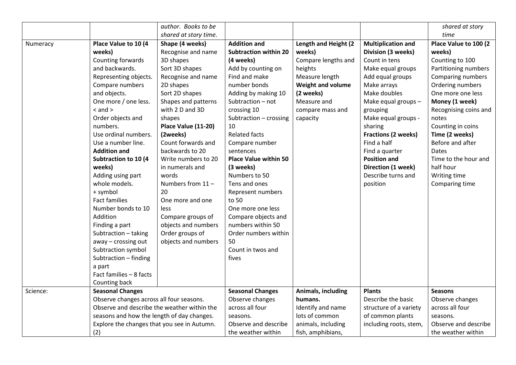|          |                                             | author. Books to be   |                              |                      |                            | shared at story       |
|----------|---------------------------------------------|-----------------------|------------------------------|----------------------|----------------------------|-----------------------|
|          |                                             | shared at story time. |                              |                      |                            | time                  |
| Numeracy | Place Value to 10 (4                        | Shape (4 weeks)       | <b>Addition and</b>          | Length and Height (2 | <b>Multiplication and</b>  | Place Value to 100 (2 |
|          | weeks)                                      | Recognise and name    | <b>Subtraction within 20</b> | weeks)               | Division (3 weeks)         | weeks)                |
|          | Counting forwards                           | 3D shapes             | (4 weeks)                    | Compare lengths and  | Count in tens              | Counting to 100       |
|          | and backwards.                              | Sort 3D shapes        | Add by counting on           | heights              | Make equal groups          | Partitioning numbers  |
|          | Representing objects.                       | Recognise and name    | Find and make                | Measure length       | Add equal groups           | Comparing numbers     |
|          | Compare numbers                             | 2D shapes             | number bonds                 | Weight and volume    | Make arrays                | Ordering numbers      |
|          | and objects.                                | Sort 2D shapes        | Adding by making 10          | (2 weeks)            | Make doubles               | One more one less     |
|          | One more / one less.                        | Shapes and patterns   | Subtraction - not            | Measure and          | Make equal groups -        | Money (1 week)        |
|          | $<$ and $>$                                 | with 2 D and 3D       | crossing 10                  | compare mass and     | grouping                   | Recognising coins and |
|          | Order objects and                           | shapes                | Subtraction - crossing       | capacity             | Make equal groups -        | notes                 |
|          | numbers.                                    | Place Value (11-20)   | 10                           |                      | sharing                    | Counting in coins     |
|          | Use ordinal numbers.                        | (2weeks)              | <b>Related facts</b>         |                      | <b>Fractions (2 weeks)</b> | Time (2 weeks)        |
|          | Use a number line.                          | Count forwards and    | Compare number               |                      | Find a half                | Before and after      |
|          | <b>Addition and</b>                         | backwards to 20       | sentences                    |                      | Find a quarter             | Dates                 |
|          | <b>Subtraction to 10 (4</b>                 | Write numbers to 20   | <b>Place Value within 50</b> |                      | <b>Position and</b>        | Time to the hour and  |
|          | weeks)                                      | in numerals and       | (3 weeks)                    |                      | Direction (1 week)         | half hour             |
|          | Adding using part                           | words                 | Numbers to 50                |                      | Describe turns and         | Writing time          |
|          | whole models.                               | Numbers from 11-      | Tens and ones                |                      | position                   | Comparing time        |
|          | + symbol                                    | 20                    | Represent numbers            |                      |                            |                       |
|          | <b>Fact families</b>                        | One more and one      | to 50                        |                      |                            |                       |
|          | Number bonds to 10                          | <b>less</b>           | One more one less            |                      |                            |                       |
|          | Addition                                    | Compare groups of     | Compare objects and          |                      |                            |                       |
|          | Finding a part                              | objects and numbers   | numbers within 50            |                      |                            |                       |
|          | Subtraction - taking                        | Order groups of       | Order numbers within         |                      |                            |                       |
|          | away - crossing out                         | objects and numbers   | 50                           |                      |                            |                       |
|          | Subtraction symbol                          |                       | Count in twos and            |                      |                            |                       |
|          | Subtraction - finding                       |                       | fives                        |                      |                            |                       |
|          | a part                                      |                       |                              |                      |                            |                       |
|          | Fact families - 8 facts                     |                       |                              |                      |                            |                       |
|          | Counting back                               |                       |                              |                      |                            |                       |
| Science: | <b>Seasonal Changes</b>                     |                       | <b>Seasonal Changes</b>      | Animals, including   | <b>Plants</b>              | <b>Seasons</b>        |
|          | Observe changes across all four seasons.    |                       | Observe changes              | humans.              | Describe the basic         | Observe changes       |
|          | Observe and describe the weather within the |                       | across all four              | Identify and name    | structure of a variety     | across all four       |
|          | seasons and how the length of day changes.  |                       | seasons.                     | lots of common       | of common plants           | seasons.              |
|          | Explore the changes that you see in Autumn. |                       | Observe and describe         | animals, including   | including roots, stem,     | Observe and describe  |
|          | (2)                                         |                       | the weather within           | fish, amphibians,    |                            | the weather within    |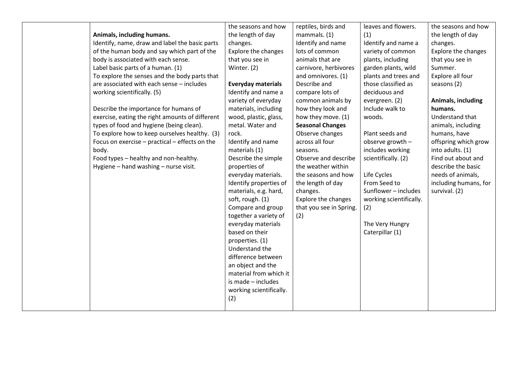| Animals, including humans.<br>Identify, name, draw and label the basic parts                                                                                                                                                                                                                                                       | the seasons and how<br>the length of day<br>changes.                                                                                                                                                                                                                                                                                                                                                                                                   | reptiles, birds and<br>mammals. (1)<br>Identify and name                                                                                                                                                                                                                            | leaves and flowers.<br>(1)<br>Identify and name a                                                                                                                                                                                          | the seasons and how<br>the length of day<br>changes.                                                                                                                                                                    |
|------------------------------------------------------------------------------------------------------------------------------------------------------------------------------------------------------------------------------------------------------------------------------------------------------------------------------------|--------------------------------------------------------------------------------------------------------------------------------------------------------------------------------------------------------------------------------------------------------------------------------------------------------------------------------------------------------------------------------------------------------------------------------------------------------|-------------------------------------------------------------------------------------------------------------------------------------------------------------------------------------------------------------------------------------------------------------------------------------|--------------------------------------------------------------------------------------------------------------------------------------------------------------------------------------------------------------------------------------------|-------------------------------------------------------------------------------------------------------------------------------------------------------------------------------------------------------------------------|
| of the human body and say which part of the<br>body is associated with each sense.<br>Label basic parts of a human. (1)<br>To explore the senses and the body parts that                                                                                                                                                           | Explore the changes<br>that you see in<br>Winter. (2)                                                                                                                                                                                                                                                                                                                                                                                                  | lots of common<br>animals that are<br>carnivore, herbivores<br>and omnivores. (1)                                                                                                                                                                                                   | variety of common<br>plants, including<br>garden plants, wild<br>plants and trees and                                                                                                                                                      | Explore the changes<br>that you see in<br>Summer.<br>Explore all four                                                                                                                                                   |
| are associated with each sense - includes<br>working scientifically. (5)                                                                                                                                                                                                                                                           | <b>Everyday materials</b><br>Identify and name a<br>variety of everyday                                                                                                                                                                                                                                                                                                                                                                                | Describe and<br>compare lots of<br>common animals by                                                                                                                                                                                                                                | those classified as<br>deciduous and<br>evergreen. (2)                                                                                                                                                                                     | seasons (2)<br>Animals, including                                                                                                                                                                                       |
| Describe the importance for humans of<br>exercise, eating the right amounts of different<br>types of food and hygiene (being clean).<br>To explore how to keep ourselves healthy. (3)<br>Focus on exercise - practical - effects on the<br>body.<br>Food types - healthy and non-healthy.<br>Hygiene - hand washing - nurse visit. | materials, including<br>wood, plastic, glass,<br>metal. Water and<br>rock.<br>Identify and name<br>materials (1)<br>Describe the simple<br>properties of<br>everyday materials.<br>Identify properties of<br>materials, e.g. hard,<br>soft, rough. (1)<br>Compare and group<br>together a variety of<br>everyday materials<br>based on their<br>properties. (1)<br>Understand the<br>difference between<br>an object and the<br>material from which it | how they look and<br>how they move. (1)<br><b>Seasonal Changes</b><br>Observe changes<br>across all four<br>seasons.<br>Observe and describe<br>the weather within<br>the seasons and how<br>the length of day<br>changes.<br>Explore the changes<br>that you see in Spring.<br>(2) | Include walk to<br>woods.<br>Plant seeds and<br>observe growth -<br>includes working<br>scientifically. (2)<br>Life Cycles<br>From Seed to<br>Sunflower - includes<br>working scientifically.<br>(2)<br>The Very Hungry<br>Caterpillar (1) | humans.<br>Understand that<br>animals, including<br>humans, have<br>offspring which grow<br>into adults. (1)<br>Find out about and<br>describe the basic<br>needs of animals,<br>including humans, for<br>survival. (2) |
|                                                                                                                                                                                                                                                                                                                                    | is made - includes<br>working scientifically.<br>(2)                                                                                                                                                                                                                                                                                                                                                                                                   |                                                                                                                                                                                                                                                                                     |                                                                                                                                                                                                                                            |                                                                                                                                                                                                                         |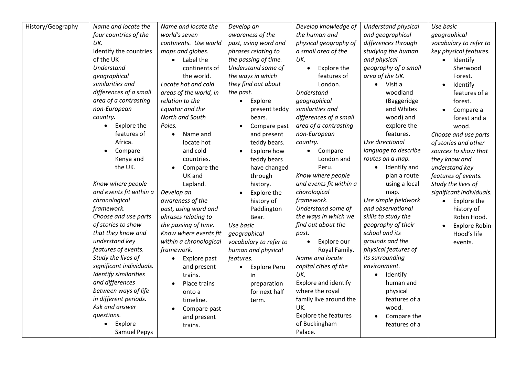| History/Geography | Name and locate the      | Name and locate the    | Develop an                       | Develop knowledge of        | Understand physical       | Use basic                |
|-------------------|--------------------------|------------------------|----------------------------------|-----------------------------|---------------------------|--------------------------|
|                   | four countries of the    | world's seven          | awareness of the                 | the human and               | and geographical          | geographical             |
|                   | UK.                      | continents. Use world  | past, using word and             | physical geography of       | differences through       | vocabulary to refer to   |
|                   | Identify the countries   | maps and globes.       | phrases relating to              | a small area of the         | studying the human        | key physical features.   |
|                   | of the UK                | Label the              | the passing of time.             | UK.                         | and physical              | Identify<br>$\bullet$    |
|                   | Understand               | continents of          | Understand some of               | Explore the                 | geography of a small      | Sherwood                 |
|                   | geographical             | the world.             | the ways in which                | features of                 | area of the UK.           | Forest.                  |
|                   | similarities and         | Locate hot and cold    | they find out about              | London.                     | $\bullet$ Visit a         | Identify<br>$\bullet$    |
|                   | differences of a small   | areas of the world, in | the past.                        | Understand                  | woodland                  | features of a            |
|                   | area of a contrasting    | relation to the        | Explore<br>$\bullet$             | geographical                | (Baggeridge               | forest.                  |
|                   | non-European             | Equator and the        | present teddy                    | similarities and            | and Whites                | Compare a                |
|                   | country.                 | North and South        | bears.                           | differences of a small      | wood) and                 | forest and a             |
|                   | Explore the<br>$\bullet$ | Poles.                 | Compare past                     | area of a contrasting       | explore the               | wood.                    |
|                   | features of              | Name and               | and present                      | non-European                | features.                 | Choose and use parts     |
|                   | Africa.                  | locate hot             | teddy bears.                     | country.                    | Use directional           | of stories and other     |
|                   | Compare                  | and cold               | Explore how                      | Compare<br>$\bullet$        | language to describe      | sources to show that     |
|                   | Kenya and                | countries.             | teddy bears                      | London and                  | routes on a map.          | they know and            |
|                   | the UK.                  | Compare the            | have changed                     | Peru.                       | Identify and<br>$\bullet$ | understand key           |
|                   |                          | UK and                 | through                          | Know where people           | plan a route              | features of events.      |
|                   | Know where people        | Lapland.               | history.                         | and events fit within a     | using a local             | Study the lives of       |
|                   | and events fit within a  | Develop an             | Explore the                      | chorological                | map.                      | significant individuals. |
|                   | chronological            | awareness of the       | history of                       | framework.                  | Use simple fieldwork      | Explore the<br>$\bullet$ |
|                   | framework.               | past, using word and   | Paddington                       | Understand some of          | and observational         | history of               |
|                   | Choose and use parts     | phrases relating to    | Bear.                            | the ways in which we        | skills to study the       | Robin Hood.              |
|                   | of stories to show       | the passing of time.   | Use basic                        | find out about the          | geography of their        | <b>Explore Robin</b>     |
|                   | that they know and       | Know where events fit  | geographical                     | past.                       | school and its            | Hood's life              |
|                   | understand key           | within a chronological | vocabulary to refer to           | Explore our                 | grounds and the           | events.                  |
|                   | features of events.      | framework.             | human and physical               | Royal Family.               | physical features of      |                          |
|                   | Study the lives of       | Explore past           | features.                        | Name and locate             | its surrounding           |                          |
|                   | significant individuals. | and present            | <b>Explore Peru</b><br>$\bullet$ | capital cities of the       | environment.              |                          |
|                   | Identify similarities    | trains.                | in                               | UK.                         | Identify                  |                          |
|                   | and differences          | Place trains           | preparation                      | Explore and identify        | human and                 |                          |
|                   | between ways of life     | onto a                 | for next half                    | where the royal             | physical                  |                          |
|                   | in different periods.    | timeline.              | term.                            | family live around the      | features of a             |                          |
|                   | Ask and answer           | Compare past           |                                  | UK.                         | wood.                     |                          |
|                   | questions.               | and present            |                                  | <b>Explore the features</b> | Compare the               |                          |
|                   | Explore<br>$\bullet$     | trains.                |                                  | of Buckingham               | features of a             |                          |
|                   | <b>Samuel Pepys</b>      |                        |                                  | Palace.                     |                           |                          |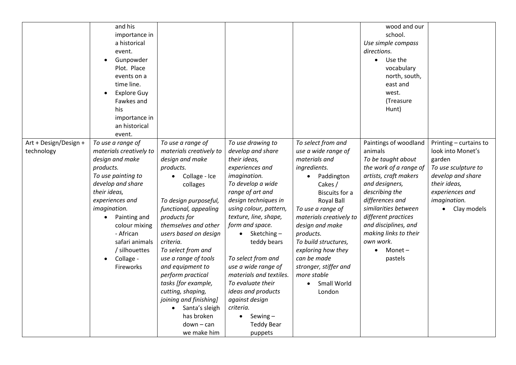|                       | and his                 |                            |                         |                         | wood and our           |                        |
|-----------------------|-------------------------|----------------------------|-------------------------|-------------------------|------------------------|------------------------|
|                       | importance in           |                            |                         |                         | school.                |                        |
|                       | a historical            |                            |                         |                         | Use simple compass     |                        |
|                       | event.                  |                            |                         |                         | directions.            |                        |
|                       | Gunpowder               |                            |                         |                         | Use the<br>$\bullet$   |                        |
|                       | Plot. Place             |                            |                         |                         | vocabulary             |                        |
|                       | events on a             |                            |                         |                         | north, south,          |                        |
|                       | time line.              |                            |                         |                         | east and               |                        |
|                       | <b>Explore Guy</b>      |                            |                         |                         | west.                  |                        |
|                       | Fawkes and              |                            |                         |                         | (Treasure              |                        |
|                       | his                     |                            |                         |                         | Hunt)                  |                        |
|                       | importance in           |                            |                         |                         |                        |                        |
|                       | an historical           |                            |                         |                         |                        |                        |
|                       | event.                  |                            |                         |                         |                        |                        |
| Art + Design/Design + | To use a range of       | To use a range of          | To use drawing to       | To select from and      | Paintings of woodland  | Printing - curtains to |
| technology            | materials creatively to | materials creatively to    | develop and share       | use a wide range of     | animals                | look into Monet's      |
|                       | design and make         | design and make            | their ideas,            | materials and           | To be taught about     | garden                 |
|                       | products.               | products.                  | experiences and         | ingredients.            | the work of a range of | To use sculpture to    |
|                       | To use painting to      | Collage - Ice<br>$\bullet$ | imagination.            | Paddington<br>$\bullet$ | artists, craft makers  | develop and share      |
|                       | develop and share       | collages                   | To develop a wide       | Cakes /                 | and designers,         | their ideas,           |
|                       | their ideas,            |                            | range of art and        | <b>Biscuits for a</b>   | describing the         | experiences and        |
|                       | experiences and         | To design purposeful,      | design techniques in    | Royal Ball              | differences and        | imagination.           |
|                       | imagination.            | functional, appealing      | using colour, pattern,  | To use a range of       | similarities between   | Clay models            |
|                       | Painting and            | products for               | texture, line, shape,   | materials creatively to | different practices    |                        |
|                       | colour mixing           | themselves and other       | form and space.         | design and make         | and disciplines, and   |                        |
|                       | - African               | users based on design      | $\bullet$ Sketching –   | products.               | making links to their  |                        |
|                       | safari animals          | criteria.                  | teddy bears             | To build structures,    | own work.              |                        |
|                       | / silhouettes           | To select from and         |                         | exploring how they      | Monet $-$              |                        |
|                       | Collage -<br>$\bullet$  | use a range of tools       | To select from and      | can be made             | pastels                |                        |
|                       | Fireworks               | and equipment to           | use a wide range of     | stronger, stiffer and   |                        |                        |
|                       |                         | perform practical          | materials and textiles. | more stable             |                        |                        |
|                       |                         | tasks [for example,        | To evaluate their       | Small World             |                        |                        |
|                       |                         | cutting, shaping,          | ideas and products      | London                  |                        |                        |
|                       |                         | joining and finishing]     | against design          |                         |                        |                        |
|                       |                         | Santa's sleigh             | criteria.               |                         |                        |                        |
|                       |                         | has broken                 | Sewing $-$              |                         |                        |                        |
|                       |                         | down – can                 | <b>Teddy Bear</b>       |                         |                        |                        |
|                       |                         | we make him                | puppets                 |                         |                        |                        |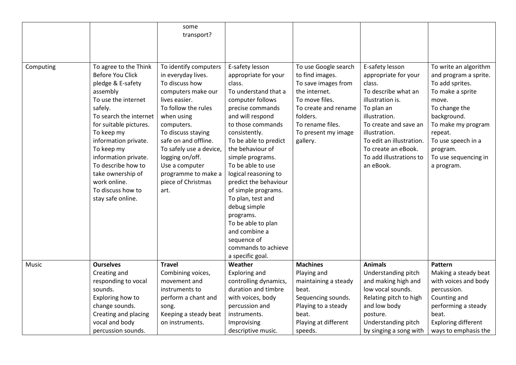|           |                                                                                                                                                                                                                                                                                                                                                          | some<br>transport?                                                                                                                                                                                                                                                                                                         |                                                                                                                                                                                                                                                                                                                                                                                                                                                                                              |                                                                                                                                                                                              |                                                                                                                                                                                                                                                                  |                                                                                                                                                                                                                                         |
|-----------|----------------------------------------------------------------------------------------------------------------------------------------------------------------------------------------------------------------------------------------------------------------------------------------------------------------------------------------------------------|----------------------------------------------------------------------------------------------------------------------------------------------------------------------------------------------------------------------------------------------------------------------------------------------------------------------------|----------------------------------------------------------------------------------------------------------------------------------------------------------------------------------------------------------------------------------------------------------------------------------------------------------------------------------------------------------------------------------------------------------------------------------------------------------------------------------------------|----------------------------------------------------------------------------------------------------------------------------------------------------------------------------------------------|------------------------------------------------------------------------------------------------------------------------------------------------------------------------------------------------------------------------------------------------------------------|-----------------------------------------------------------------------------------------------------------------------------------------------------------------------------------------------------------------------------------------|
|           |                                                                                                                                                                                                                                                                                                                                                          |                                                                                                                                                                                                                                                                                                                            |                                                                                                                                                                                                                                                                                                                                                                                                                                                                                              |                                                                                                                                                                                              |                                                                                                                                                                                                                                                                  |                                                                                                                                                                                                                                         |
| Computing | To agree to the Think<br><b>Before You Click</b><br>pledge & E-safety<br>assembly<br>To use the internet<br>safely.<br>To search the internet<br>for suitable pictures.<br>To keep my<br>information private.<br>To keep my<br>information private.<br>To describe how to<br>take ownership of<br>work online.<br>To discuss how to<br>stay safe online. | To identify computers<br>in everyday lives.<br>To discuss how<br>computers make our<br>lives easier.<br>To follow the rules<br>when using<br>computers.<br>To discuss staying<br>safe on and offline.<br>To safely use a device,<br>logging on/off.<br>Use a computer<br>programme to make a<br>piece of Christmas<br>art. | E-safety lesson<br>appropriate for your<br>class.<br>To understand that a<br>computer follows<br>precise commands<br>and will respond<br>to those commands<br>consistently.<br>To be able to predict<br>the behaviour of<br>simple programs.<br>To be able to use<br>logical reasoning to<br>predict the behaviour<br>of simple programs.<br>To plan, test and<br>debug simple<br>programs.<br>To be able to plan<br>and combine a<br>sequence of<br>commands to achieve<br>a specific goal. | To use Google search<br>to find images.<br>To save images from<br>the internet.<br>To move files.<br>To create and rename<br>folders.<br>To rename files.<br>To present my image<br>gallery. | E-safety lesson<br>appropriate for your<br>class.<br>To describe what an<br>illustration is.<br>To plan an<br>illustration.<br>To create and save an<br>illustration.<br>To edit an illustration.<br>To create an eBook.<br>To add illustrations to<br>an eBook. | To write an algorithm<br>and program a sprite.<br>To add sprites.<br>To make a sprite<br>move.<br>To change the<br>background.<br>To make my program<br>repeat.<br>To use speech in a<br>program.<br>To use sequencing in<br>a program. |
| Music     | <b>Ourselves</b>                                                                                                                                                                                                                                                                                                                                         | <b>Travel</b>                                                                                                                                                                                                                                                                                                              | Weather                                                                                                                                                                                                                                                                                                                                                                                                                                                                                      | <b>Machines</b>                                                                                                                                                                              | <b>Animals</b>                                                                                                                                                                                                                                                   | Pattern                                                                                                                                                                                                                                 |
|           | Creating and<br>responding to vocal                                                                                                                                                                                                                                                                                                                      | Combining voices,<br>movement and                                                                                                                                                                                                                                                                                          | <b>Exploring and</b><br>controlling dynamics,                                                                                                                                                                                                                                                                                                                                                                                                                                                | Playing and<br>maintaining a steady                                                                                                                                                          | Understanding pitch<br>and making high and                                                                                                                                                                                                                       | Making a steady beat<br>with voices and body                                                                                                                                                                                            |
|           | sounds.                                                                                                                                                                                                                                                                                                                                                  | instruments to                                                                                                                                                                                                                                                                                                             | duration and timbre                                                                                                                                                                                                                                                                                                                                                                                                                                                                          | beat.                                                                                                                                                                                        | low vocal sounds.                                                                                                                                                                                                                                                | percussion.                                                                                                                                                                                                                             |
|           | Exploring how to                                                                                                                                                                                                                                                                                                                                         | perform a chant and                                                                                                                                                                                                                                                                                                        | with voices, body                                                                                                                                                                                                                                                                                                                                                                                                                                                                            | Sequencing sounds.                                                                                                                                                                           | Relating pitch to high                                                                                                                                                                                                                                           | Counting and                                                                                                                                                                                                                            |
|           | change sounds.                                                                                                                                                                                                                                                                                                                                           | song.                                                                                                                                                                                                                                                                                                                      | percussion and                                                                                                                                                                                                                                                                                                                                                                                                                                                                               | Playing to a steady                                                                                                                                                                          | and low body                                                                                                                                                                                                                                                     | performing a steady                                                                                                                                                                                                                     |
|           | Creating and placing                                                                                                                                                                                                                                                                                                                                     | Keeping a steady beat                                                                                                                                                                                                                                                                                                      | instruments.                                                                                                                                                                                                                                                                                                                                                                                                                                                                                 | beat.                                                                                                                                                                                        | posture.                                                                                                                                                                                                                                                         | beat.                                                                                                                                                                                                                                   |
|           | vocal and body                                                                                                                                                                                                                                                                                                                                           | on instruments.                                                                                                                                                                                                                                                                                                            | Improvising                                                                                                                                                                                                                                                                                                                                                                                                                                                                                  | Playing at different                                                                                                                                                                         | Understanding pitch                                                                                                                                                                                                                                              | <b>Exploring different</b>                                                                                                                                                                                                              |
|           | percussion sounds.                                                                                                                                                                                                                                                                                                                                       |                                                                                                                                                                                                                                                                                                                            | descriptive music.                                                                                                                                                                                                                                                                                                                                                                                                                                                                           | speeds.                                                                                                                                                                                      | by singing a song with                                                                                                                                                                                                                                           | ways to emphasis the                                                                                                                                                                                                                    |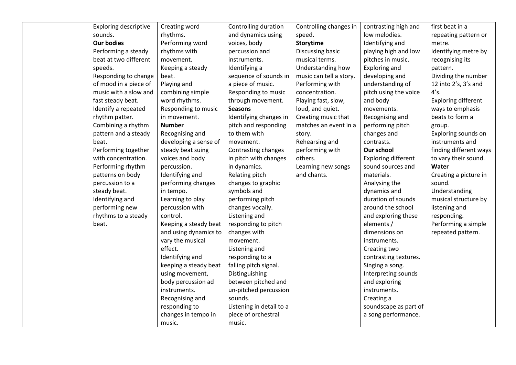| <b>Exploring descriptive</b> | Creating word         | Controlling duration     | Controlling changes in  | contrasting high and       | first beat in a            |
|------------------------------|-----------------------|--------------------------|-------------------------|----------------------------|----------------------------|
| sounds.                      | rhythms.              | and dynamics using       | speed.                  | low melodies.              | repeating pattern or       |
| <b>Our bodies</b>            | Performing word       | voices, body             | <b>Storytime</b>        | Identifying and            | metre.                     |
| Performing a steady          | rhythms with          | percussion and           | Discussing basic        | playing high and low       | Identifying metre by       |
| beat at two different        | movement.             | instruments.             | musical terms.          | pitches in music.          | recognising its            |
| speeds.                      | Keeping a steady      | Identifying a            | Understanding how       | <b>Exploring and</b>       | pattern.                   |
| Responding to change         | beat.                 | sequence of sounds in    | music can tell a story. | developing and             | Dividing the number        |
| of mood in a piece of        | Playing and           | a piece of music.        | Performing with         | understanding of           | 12 into 2's, 3's and       |
| music with a slow and        | combining simple      | Responding to music      | concentration.          | pitch using the voice      | 4's.                       |
| fast steady beat.            | word rhythms.         | through movement.        | Playing fast, slow,     | and body                   | <b>Exploring different</b> |
| Identify a repeated          | Responding to music   | <b>Seasons</b>           | loud, and quiet.        | movements.                 | ways to emphasis           |
| rhythm patter.               | in movement.          | Identifying changes in   | Creating music that     | Recognising and            | beats to form a            |
| Combining a rhythm           | <b>Number</b>         | pitch and responding     | matches an event in a   | performing pitch           | group.                     |
| pattern and a steady         | Recognising and       | to them with             | story.                  | changes and                | Exploring sounds on        |
| beat.                        | developing a sense of | movement.                | Rehearsing and          | contrasts.                 | instruments and            |
| Performing together          | steady beat suing     | Contrasting changes      | performing with         | Our school                 | finding different ways     |
| with concentration.          | voices and body       | in pitch with changes    | others.                 | <b>Exploring different</b> | to vary their sound.       |
| Performing rhythm            | percussion.           | in dynamics.             | Learning new songs      | sound sources and          | Water                      |
| patterns on body             | Identifying and       | Relating pitch           | and chants.             | materials.                 | Creating a picture in      |
| percussion to a              | performing changes    | changes to graphic       |                         | Analysing the              | sound.                     |
| steady beat.                 | in tempo.             | symbols and              |                         | dynamics and               | Understanding              |
| Identifying and              | Learning to play      | performing pitch         |                         | duration of sounds         | musical structure by       |
| performing new               | percussion with       | changes vocally.         |                         | around the school          | listening and              |
| rhythms to a steady          | control.              | Listening and            |                         | and exploring these        | responding.                |
| beat.                        | Keeping a steady beat | responding to pitch      |                         | elements /                 | Performing a simple        |
|                              | and using dynamics to | changes with             |                         | dimensions on              | repeated pattern.          |
|                              | vary the musical      | movement.                |                         | instruments.               |                            |
|                              | effect.               | Listening and            |                         | Creating two               |                            |
|                              | Identifying and       | responding to a          |                         | contrasting textures.      |                            |
|                              | keeping a steady beat | falling pitch signal.    |                         | Singing a song.            |                            |
|                              | using movement,       | Distinguishing           |                         | Interpreting sounds        |                            |
|                              | body percussion ad    | between pitched and      |                         | and exploring              |                            |
|                              | instruments.          | un-pitched percussion    |                         | instruments.               |                            |
|                              | Recognising and       | sounds.                  |                         | Creating a                 |                            |
|                              | responding to         | Listening in detail to a |                         | soundscape as part of      |                            |
|                              | changes in tempo in   | piece of orchestral      |                         | a song performance.        |                            |
|                              | music.                | music.                   |                         |                            |                            |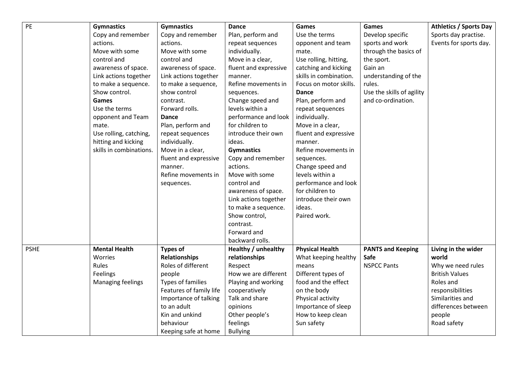| PE          | <b>Gymnastics</b>       | <b>Gymnastics</b>        | <b>Dance</b>               | Games                  | Games                     | <b>Athletics / Sports Day</b> |
|-------------|-------------------------|--------------------------|----------------------------|------------------------|---------------------------|-------------------------------|
|             | Copy and remember       | Copy and remember        | Plan, perform and          | Use the terms          | Develop specific          | Sports day practise.          |
|             | actions.                | actions.                 | repeat sequences           | opponent and team      | sports and work           | Events for sports day.        |
|             | Move with some          | Move with some           | individually.              | mate.                  | through the basics of     |                               |
|             | control and             | control and              | Move in a clear,           | Use rolling, hitting,  | the sport.                |                               |
|             | awareness of space.     | awareness of space.      | fluent and expressive      | catching and kicking   | Gain an                   |                               |
|             | Link actions together   | Link actions together    | manner.                    | skills in combination. | understanding of the      |                               |
|             | to make a sequence.     | to make a sequence,      | Refine movements in        | Focus on motor skills. | rules.                    |                               |
|             | Show control.           | show control             | sequences.                 | Dance                  | Use the skills of agility |                               |
|             | Games                   | contrast.                | Change speed and           | Plan, perform and      | and co-ordination.        |                               |
|             | Use the terms           | Forward rolls.           | levels within a            | repeat sequences       |                           |                               |
|             | opponent and Team       | Dance                    | performance and look       | individually.          |                           |                               |
|             | mate.                   | Plan, perform and        | for children to            | Move in a clear,       |                           |                               |
|             | Use rolling, catching,  | repeat sequences         | introduce their own        | fluent and expressive  |                           |                               |
|             | hitting and kicking     | individually.            | ideas.                     | manner.                |                           |                               |
|             | skills in combinations. | Move in a clear,         | <b>Gymnastics</b>          | Refine movements in    |                           |                               |
|             |                         | fluent and expressive    | Copy and remember          | sequences.             |                           |                               |
|             |                         | manner.                  | actions.                   | Change speed and       |                           |                               |
|             |                         | Refine movements in      | Move with some             | levels within a        |                           |                               |
|             |                         | sequences.               | control and                | performance and look   |                           |                               |
|             |                         |                          | awareness of space.        | for children to        |                           |                               |
|             |                         |                          | Link actions together      | introduce their own    |                           |                               |
|             |                         |                          | to make a sequence.        | ideas.                 |                           |                               |
|             |                         |                          | Show control,              | Paired work.           |                           |                               |
|             |                         |                          | contrast.                  |                        |                           |                               |
|             |                         |                          | Forward and                |                        |                           |                               |
|             |                         |                          | backward rolls.            |                        |                           |                               |
| <b>PSHE</b> | <b>Mental Health</b>    | <b>Types of</b>          | <b>Healthy / unhealthy</b> | <b>Physical Health</b> | <b>PANTS and Keeping</b>  | Living in the wider           |
|             | <b>Worries</b>          | <b>Relationships</b>     | relationships              | What keeping healthy   | <b>Safe</b>               | world                         |
|             | Rules                   | Roles of different       | Respect                    | means                  | <b>NSPCC Pants</b>        | Why we need rules             |
|             | Feelings                | people                   | How we are different       | Different types of     |                           | <b>British Values</b>         |
|             | Managing feelings       | <b>Types of families</b> | Playing and working        | food and the effect    |                           | Roles and                     |
|             |                         | Features of family life  | cooperatively              | on the body            |                           | responsibilities              |
|             |                         | Importance of talking    | Talk and share             | Physical activity      |                           | Similarities and              |
|             |                         | to an adult              | opinions                   | Importance of sleep    |                           | differences between           |
|             |                         | Kin and unkind           | Other people's             | How to keep clean      |                           | people                        |
|             |                         | behaviour                | feelings                   | Sun safety             |                           | Road safety                   |
|             |                         | Keeping safe at home     | <b>Bullying</b>            |                        |                           |                               |